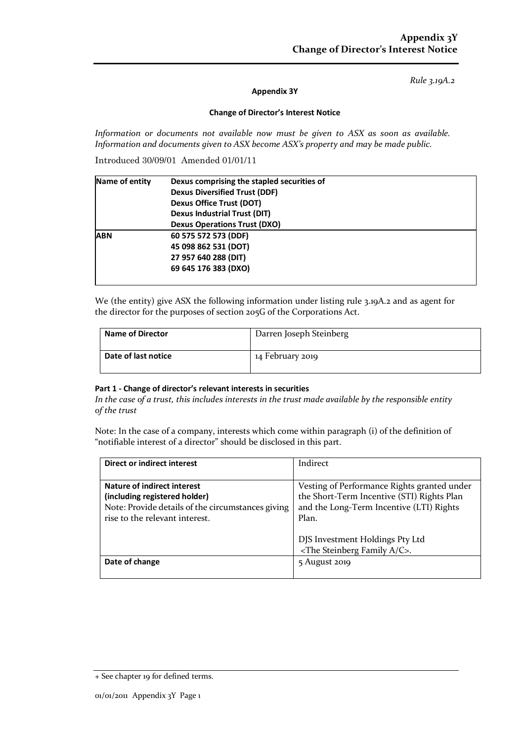## *Rule 3.19A.2*

#### **Appendix 3Y**

#### **Change of Director's Interest Notice**

*Information or documents not available now must be given to ASX as soon as available. Information and documents given to ASX become ASX's property and may be made public.*

Introduced 30/09/01 Amended 01/01/11

| Name of entity | Dexus comprising the stapled securities of |
|----------------|--------------------------------------------|
|                | <b>Dexus Diversified Trust (DDF)</b>       |
|                | <b>Dexus Office Trust (DOT)</b>            |
|                | <b>Dexus Industrial Trust (DIT)</b>        |
|                | <b>Dexus Operations Trust (DXO)</b>        |
| <b>ABN</b>     | 60 575 572 573 (DDF)                       |
|                | 45 098 862 531 (DOT)                       |
|                | 27 957 640 288 (DIT)                       |
|                | 69 645 176 383 (DXO)                       |
|                |                                            |

We (the entity) give ASX the following information under listing rule 3.19A.2 and as agent for the director for the purposes of section 205G of the Corporations Act.

| <b>Name of Director</b> | Darren Joseph Steinberg |
|-------------------------|-------------------------|
| Date of last notice     | 14 February 2019        |

### **Part 1 - Change of director's relevant interests in securities**

*In the case of a trust, this includes interests in the trust made available by the responsible entity of the trust*

Note: In the case of a company, interests which come within paragraph (i) of the definition of "notifiable interest of a director" should be disclosed in this part.

| Direct or indirect interest                       | Indirect                                    |
|---------------------------------------------------|---------------------------------------------|
|                                                   |                                             |
| Nature of indirect interest                       | Vesting of Performance Rights granted under |
| (including registered holder)                     | the Short-Term Incentive (STI) Rights Plan  |
| Note: Provide details of the circumstances giving | and the Long-Term Incentive (LTI) Rights    |
| rise to the relevant interest.                    | Plan.                                       |
|                                                   |                                             |
|                                                   | DJS Investment Holdings Pty Ltd             |
|                                                   | $\langle$ The Steinberg Family A/C $>$ .    |
| Date of change                                    | $5$ August 2019                             |
|                                                   |                                             |

<sup>+</sup> See chapter 19 for defined terms.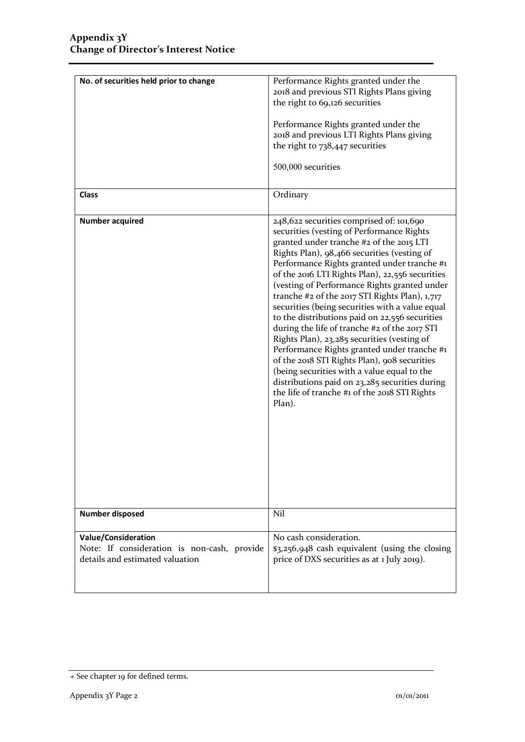| No. of securities held prior to change                                                                       | Performance Rights granted under the<br>2018 and previous STI Rights Plans giving<br>the right to 69,126 securities<br>Performance Rights granted under the<br>2018 and previous LTI Rights Plans giving<br>the right to 738,447 securities<br>500,000 securities                                                                                                                                                                                                                                                                                                                                                                                                                                                                                                                                                                                    |
|--------------------------------------------------------------------------------------------------------------|------------------------------------------------------------------------------------------------------------------------------------------------------------------------------------------------------------------------------------------------------------------------------------------------------------------------------------------------------------------------------------------------------------------------------------------------------------------------------------------------------------------------------------------------------------------------------------------------------------------------------------------------------------------------------------------------------------------------------------------------------------------------------------------------------------------------------------------------------|
| <b>Class</b>                                                                                                 | Ordinary                                                                                                                                                                                                                                                                                                                                                                                                                                                                                                                                                                                                                                                                                                                                                                                                                                             |
| <b>Number acquired</b>                                                                                       | 248,622 securities comprised of: 101,690<br>securities (vesting of Performance Rights<br>granted under tranche #2 of the 2015 LTI<br>Rights Plan), 98,466 securities (vesting of<br>Performance Rights granted under tranche #1<br>of the 2016 LTI Rights Plan), 22,556 securities<br>(vesting of Performance Rights granted under<br>tranche #2 of the 2017 STI Rights Plan), 1,717<br>securities (being securities with a value equal<br>to the distributions paid on 22,556 securities<br>during the life of tranche #2 of the 2017 STI<br>Rights Plan), 23,285 securities (vesting of<br>Performance Rights granted under tranche #1<br>of the 2018 STI Rights Plan), 908 securities<br>(being securities with a value equal to the<br>distributions paid on 23,285 securities during<br>the life of tranche #1 of the 2018 STI Rights<br>Plan). |
| <b>Number disposed</b>                                                                                       | Nil                                                                                                                                                                                                                                                                                                                                                                                                                                                                                                                                                                                                                                                                                                                                                                                                                                                  |
| <b>Value/Consideration</b><br>Note: If consideration is non-cash, provide<br>details and estimated valuation | No cash consideration.<br>\$3,256,948 cash equivalent (using the closing<br>price of DXS securities as at 1 July 2019).                                                                                                                                                                                                                                                                                                                                                                                                                                                                                                                                                                                                                                                                                                                              |

<sup>+</sup> See chapter 19 for defined terms.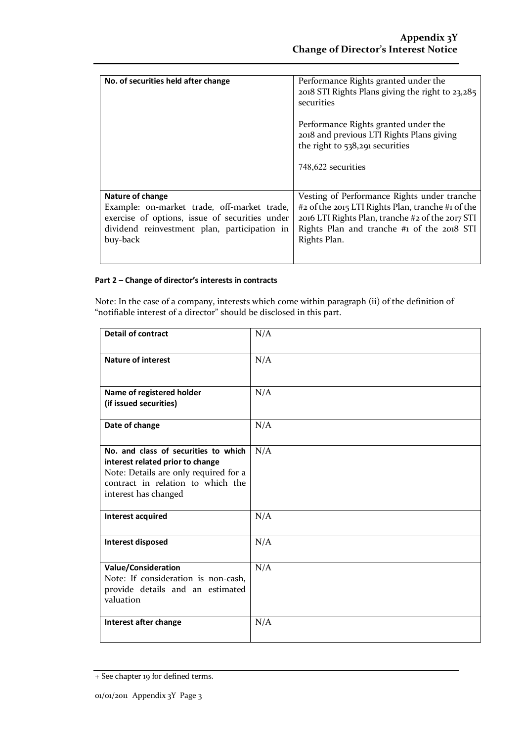| No. of securities held after change                                                                                                                       | Performance Rights granted under the<br>2018 STI Rights Plans giving the right to 23,285<br>securities                                                              |
|-----------------------------------------------------------------------------------------------------------------------------------------------------------|---------------------------------------------------------------------------------------------------------------------------------------------------------------------|
|                                                                                                                                                           | Performance Rights granted under the<br>2018 and previous LTI Rights Plans giving<br>the right to 538,291 securities                                                |
|                                                                                                                                                           | 748,622 securities                                                                                                                                                  |
| Nature of change                                                                                                                                          | Vesting of Performance Rights under tranche                                                                                                                         |
| Example: on-market trade, off-market trade,<br>exercise of options, issue of securities under<br>dividend reinvestment plan, participation in<br>buy-back | #2 of the 2015 LTI Rights Plan, tranche #1 of the<br>2016 LTI Rights Plan, tranche #2 of the 2017 STI<br>Rights Plan and tranche #1 of the 2018 STI<br>Rights Plan. |

# **Part 2 – Change of director's interests in contracts**

Note: In the case of a company, interests which come within paragraph (ii) of the definition of "notifiable interest of a director" should be disclosed in this part.

| <b>Detail of contract</b>                                                                                                                                                      | N/A |
|--------------------------------------------------------------------------------------------------------------------------------------------------------------------------------|-----|
| <b>Nature of interest</b>                                                                                                                                                      | N/A |
| Name of registered holder<br>(if issued securities)                                                                                                                            | N/A |
| Date of change                                                                                                                                                                 | N/A |
| No. and class of securities to which<br>interest related prior to change<br>Note: Details are only required for a<br>contract in relation to which the<br>interest has changed | N/A |
| <b>Interest acquired</b>                                                                                                                                                       | N/A |
| <b>Interest disposed</b>                                                                                                                                                       | N/A |
| <b>Value/Consideration</b><br>Note: If consideration is non-cash,<br>provide details and an estimated<br>valuation                                                             | N/A |
| Interest after change                                                                                                                                                          | N/A |

<sup>+</sup> See chapter 19 for defined terms.